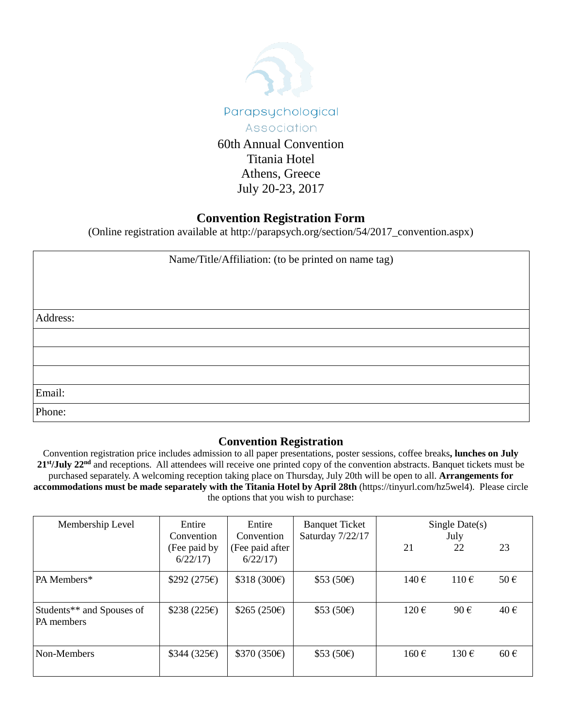

Titania Hotel Athens, Greece July 20-23, 2017

## **Convention Registration Form**

(Online registration available at http://parapsych.org/section/54/2017\_convention.aspx)

| Name/Title/Affiliation: (to be printed on name tag) |  |  |  |  |
|-----------------------------------------------------|--|--|--|--|
|                                                     |  |  |  |  |
|                                                     |  |  |  |  |
| Address:                                            |  |  |  |  |
|                                                     |  |  |  |  |
|                                                     |  |  |  |  |
|                                                     |  |  |  |  |
| Email:                                              |  |  |  |  |
| Phone:                                              |  |  |  |  |

## **Convention Registration**

Convention registration price includes admission to all paper presentations, poster sessions, coffee breaks**, lunches on July 21st/July 22nd** and receptions. All attendees will receive one printed copy of the convention abstracts. Banquet tickets must be purchased separately. A welcoming reception taking place on Thursday, July 20th will be open to all. **Arrangements for accommodations must be made separately with the Titania Hotel by April 28th** (https://tinyurl.com/hz5wel4). Please circle the options that you wish to purchase:

| Membership Level                        | Entire<br>Convention    | Entire<br>Convention       | <b>Banquet Ticket</b><br>Saturday 7/22/17 | Single Date $(s)$<br>July |                    |          |
|-----------------------------------------|-------------------------|----------------------------|-------------------------------------------|---------------------------|--------------------|----------|
|                                         | (Fee paid by<br>6/22/17 | (Fee paid after<br>6/22/17 |                                           | 21                        | 22                 | 23       |
| PA Members*                             | \$292 (275)             | \$318 (300)                | \$53(50)                                  | 140 $\epsilon$            | $110 \text{ } \in$ | $50 \in$ |
| Students** and Spouses of<br>PA members | \$238(225)              | \$265 $(250€)$             | \$53(50)                                  | $120 \,\epsilon$          | 90€                | $40 \in$ |
| Non-Members                             | \$344 (325)             | \$370(350)                 | \$53(50)                                  | 160€                      | $130 \text{ } \in$ | $60 \in$ |